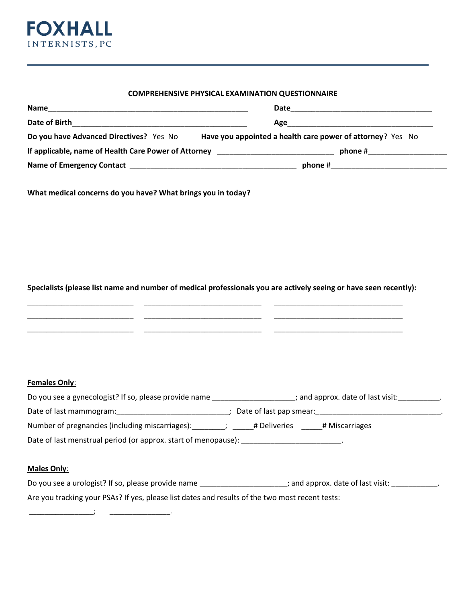

### **COMPREHENSIVE PHYSICAL EXAMINATION QUESTIONNAIRE**

| <b>Name</b>                                                                      | Date                                                                   |
|----------------------------------------------------------------------------------|------------------------------------------------------------------------|
| Date of Birth                                                                    | Age______                                                              |
| Do you have Advanced Directives? Yes No                                          | Have you appointed a health care power of attorney? Yes No             |
| If applicable, name of Health Care Power of Attorney ___________________________ | phone #                                                                |
| <b>Name of Emergency Contact</b>                                                 | phone $#$<br><u> 1989 - Jan Berlin, Amerikaansk politiker († 1908)</u> |

**What medical concerns do you have? What brings you in today?**

#### **Specialists (please list name and number of medical professionals you are actively seeing or have seen recently):**

\_\_\_\_\_\_\_\_\_\_\_\_\_\_\_\_\_\_\_\_\_\_\_\_\_\_\_\_ \_\_\_\_\_\_\_\_\_\_\_\_\_\_\_\_\_\_\_\_\_\_\_\_\_\_\_\_\_\_\_ \_\_\_\_\_\_\_\_\_\_\_\_\_\_\_\_\_\_\_\_\_\_\_\_\_\_\_\_\_\_\_\_\_\_ \_\_\_\_\_\_\_\_\_\_\_\_\_\_\_\_\_\_\_\_\_\_\_\_\_\_\_\_ \_\_\_\_\_\_\_\_\_\_\_\_\_\_\_\_\_\_\_\_\_\_\_\_\_\_\_\_\_\_\_ \_\_\_\_\_\_\_\_\_\_\_\_\_\_\_\_\_\_\_\_\_\_\_\_\_\_\_\_\_\_\_\_\_\_ \_\_\_\_\_\_\_\_\_\_\_\_\_\_\_\_\_\_\_\_\_\_\_\_\_\_\_\_ \_\_\_\_\_\_\_\_\_\_\_\_\_\_\_\_\_\_\_\_\_\_\_\_\_\_\_\_\_\_\_ \_\_\_\_\_\_\_\_\_\_\_\_\_\_\_\_\_\_\_\_\_\_\_\_\_\_\_\_\_\_\_\_\_\_

| Do you see a gynecologist? If so, please provide name          | ; and approx. date of last visit: |  |  |  |
|----------------------------------------------------------------|-----------------------------------|--|--|--|
| Date of last mammogram:                                        | Date of last pap smear:           |  |  |  |
| Number of pregnancies (including miscarriages):                | # Miscarriages<br># Deliveries    |  |  |  |
| Date of last menstrual period (or approx. start of menopause): |                                   |  |  |  |

## **Males Only**:

\_\_\_\_\_\_\_\_\_\_\_\_\_\_\_\_\_; \_\_\_\_\_\_\_\_\_\_\_\_\_\_\_\_.

| Do you see a urologist? If so, please provide name                                              | ; and approx. date of last visit: |
|-------------------------------------------------------------------------------------------------|-----------------------------------|
| Are you tracking your PSAs? If yes, please list dates and results of the two most recent tests: |                                   |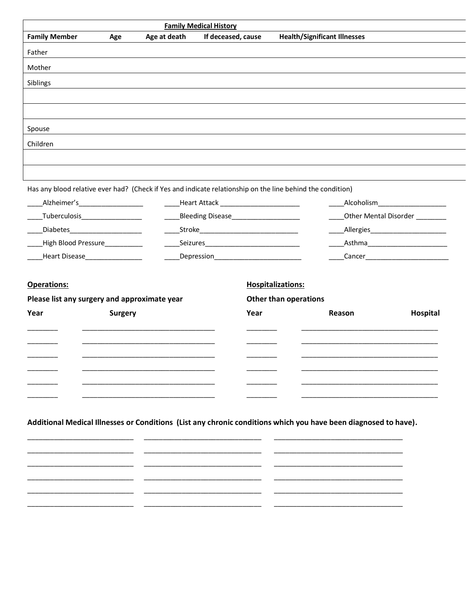|                      |                                              |              | <b>Family Medical History</b>               |                                                                                                                 |                                       |
|----------------------|----------------------------------------------|--------------|---------------------------------------------|-----------------------------------------------------------------------------------------------------------------|---------------------------------------|
| <b>Family Member</b> | Age                                          | Age at death | If deceased, cause                          | <b>Health/Significant Illnesses</b>                                                                             |                                       |
| Father               |                                              |              |                                             |                                                                                                                 |                                       |
| Mother               |                                              |              |                                             |                                                                                                                 |                                       |
| Siblings             |                                              |              |                                             |                                                                                                                 |                                       |
|                      |                                              |              |                                             |                                                                                                                 |                                       |
|                      |                                              |              |                                             |                                                                                                                 |                                       |
|                      |                                              |              |                                             |                                                                                                                 |                                       |
| Spouse               |                                              |              |                                             |                                                                                                                 |                                       |
| Children             |                                              |              |                                             |                                                                                                                 |                                       |
|                      |                                              |              |                                             |                                                                                                                 |                                       |
|                      |                                              |              |                                             |                                                                                                                 |                                       |
|                      |                                              |              |                                             | Has any blood relative ever had? (Check if Yes and indicate relationship on the line behind the condition)      |                                       |
|                      | _Alzheimer's_____________________            |              | Heart Attack __________________________     |                                                                                                                 | ______Alcoholism_____________________ |
|                      | ____Tuberculosis___________________          |              | Bleeding Disease_____________________       |                                                                                                                 | Other Mental Disorder ________        |
|                      | ____Diabetes_____________________            |              | _Stroke___________________________________  |                                                                                                                 | _Allergies__________________________  |
|                      | ____High Blood Pressure____________          |              | _Seizures__________________________________ |                                                                                                                 | _Asthma_________________________      |
|                      | Heart Disease________________                |              | Depression___________________________       |                                                                                                                 |                                       |
| <b>Operations:</b>   | Please list any surgery and approximate year |              |                                             | <b>Hospitalizations:</b><br><b>Other than operations</b>                                                        |                                       |
| Year                 | <b>Surgery</b>                               |              | Year                                        | Reason                                                                                                          | Hospital                              |
|                      |                                              |              |                                             |                                                                                                                 |                                       |
|                      |                                              |              |                                             |                                                                                                                 |                                       |
|                      |                                              |              |                                             |                                                                                                                 |                                       |
|                      |                                              |              |                                             |                                                                                                                 |                                       |
|                      |                                              |              |                                             |                                                                                                                 |                                       |
|                      |                                              |              |                                             |                                                                                                                 |                                       |
|                      |                                              |              |                                             |                                                                                                                 |                                       |
|                      |                                              |              |                                             | Additional Medical Illnesses or Conditions (List any chronic conditions which you have been diagnosed to have). |                                       |
|                      |                                              |              |                                             |                                                                                                                 |                                       |
|                      |                                              |              |                                             |                                                                                                                 |                                       |
|                      |                                              |              |                                             |                                                                                                                 |                                       |
|                      |                                              |              |                                             |                                                                                                                 |                                       |
|                      |                                              |              |                                             |                                                                                                                 |                                       |
|                      |                                              |              |                                             |                                                                                                                 |                                       |
|                      |                                              |              |                                             |                                                                                                                 |                                       |
|                      |                                              |              |                                             |                                                                                                                 |                                       |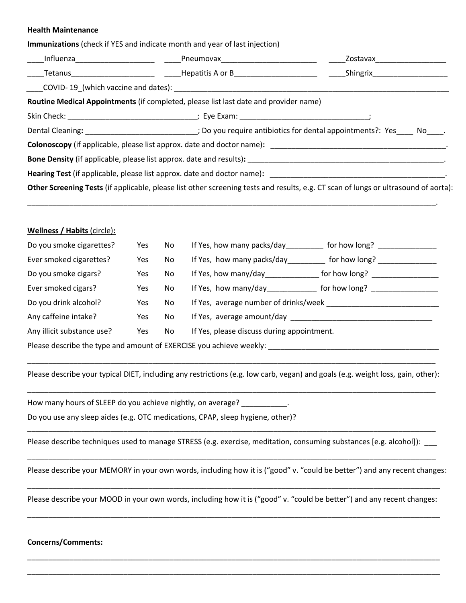#### **Health Maintenance**

| Influenza <b>Exercía de San Antonio Preumovax</b> en la provincia de la provincia de la provincia de la provincia de |     |     | <b>Zostavax</b> and a state of the state of the state of the state of the state of the state of the state of the state of the state of the state of the state of the state of the state of the state of the state of the state of t |                                                                                                                                                                                                                                                                                         |
|----------------------------------------------------------------------------------------------------------------------|-----|-----|-------------------------------------------------------------------------------------------------------------------------------------------------------------------------------------------------------------------------------------|-----------------------------------------------------------------------------------------------------------------------------------------------------------------------------------------------------------------------------------------------------------------------------------------|
|                                                                                                                      |     |     |                                                                                                                                                                                                                                     |                                                                                                                                                                                                                                                                                         |
|                                                                                                                      |     |     |                                                                                                                                                                                                                                     |                                                                                                                                                                                                                                                                                         |
|                                                                                                                      |     |     | Routine Medical Appointments (if completed, please list last date and provider name)                                                                                                                                                |                                                                                                                                                                                                                                                                                         |
|                                                                                                                      |     |     |                                                                                                                                                                                                                                     |                                                                                                                                                                                                                                                                                         |
|                                                                                                                      |     |     |                                                                                                                                                                                                                                     | Dental Cleaning: ___________________________; Do you require antibiotics for dental appointments?: Yes____ No____.                                                                                                                                                                      |
|                                                                                                                      |     |     |                                                                                                                                                                                                                                     |                                                                                                                                                                                                                                                                                         |
|                                                                                                                      |     |     |                                                                                                                                                                                                                                     |                                                                                                                                                                                                                                                                                         |
|                                                                                                                      |     |     |                                                                                                                                                                                                                                     |                                                                                                                                                                                                                                                                                         |
|                                                                                                                      |     |     |                                                                                                                                                                                                                                     | Other Screening Tests (if applicable, please list other screening tests and results, e.g. CT scan of lungs or ultrasound of aorta):                                                                                                                                                     |
| <b>Wellness / Habits (circle):</b><br>Do you smoke cigarettes?                                                       | Yes | No. |                                                                                                                                                                                                                                     | If Yes, how many packs/day for how long?                                                                                                                                                                                                                                                |
| Ever smoked cigarettes?                                                                                              | Yes | No  |                                                                                                                                                                                                                                     | If Yes, how many packs/day___________ for how long? _______________                                                                                                                                                                                                                     |
| Do you smoke cigars?                                                                                                 | Yes | No  |                                                                                                                                                                                                                                     |                                                                                                                                                                                                                                                                                         |
| Ever smoked cigars?                                                                                                  | Yes | No  |                                                                                                                                                                                                                                     |                                                                                                                                                                                                                                                                                         |
| Do you drink alcohol?                                                                                                | Yes | No  |                                                                                                                                                                                                                                     |                                                                                                                                                                                                                                                                                         |
| Any caffeine intake?                                                                                                 | Yes | No  |                                                                                                                                                                                                                                     | If Yes, how many/day_________________ for how long? ____________________________<br>If Yes, how many/day_______________ for how long? ______________________________<br>If Yes, average amount/day experience and the set of the set of the set of the set of the set of the set of the |
| Any illicit substance use?                                                                                           | Yes | No  | If Yes, please discuss during appointment.                                                                                                                                                                                          |                                                                                                                                                                                                                                                                                         |

Please describe your typical DIET, including any restrictions (e.g. low carb, vegan) and goals (e.g. weight loss, gain, other): \_\_\_\_\_\_\_\_\_\_\_\_\_\_\_\_\_\_\_\_\_\_\_\_\_\_\_\_\_\_\_\_\_\_\_\_\_\_\_\_\_\_\_\_\_\_\_\_\_\_\_\_\_\_\_\_\_\_\_\_\_\_\_\_\_\_\_\_\_\_\_\_\_\_\_\_\_\_\_\_\_\_\_\_\_\_\_\_\_\_\_\_\_\_\_\_\_\_

How many hours of SLEEP do you achieve nightly, on average?

Do you use any sleep aides (e.g. OTC medications, CPAP, sleep hygiene, other)?

\_\_\_\_\_\_\_\_\_\_\_\_\_\_\_\_\_\_\_\_\_\_\_\_\_\_\_\_\_\_\_\_\_\_\_\_\_\_\_\_\_\_\_\_\_\_\_\_\_\_\_\_\_\_\_\_\_\_\_\_\_\_\_\_\_\_\_\_\_\_\_\_\_\_\_\_\_\_\_\_\_\_\_\_\_\_\_\_\_\_\_\_\_\_\_\_\_\_ Please describe techniques used to manage STRESS (e.g. exercise, meditation, consuming substances [e.g. alcohol]): \_\_\_\_\_\_\_\_\_\_\_\_\_\_\_\_\_\_\_\_\_\_\_\_\_\_\_\_\_\_\_\_\_\_\_\_\_\_\_\_\_\_\_\_\_\_\_\_\_\_\_\_\_\_\_\_\_\_\_\_\_\_\_\_\_\_\_\_\_\_\_\_\_\_\_\_\_\_\_\_\_\_\_\_\_\_\_\_\_\_\_\_\_\_\_\_\_\_

Please describe your MEMORY in your own words, including how it is ("good" v. "could be better") and any recent changes:

\_\_\_\_\_\_\_\_\_\_\_\_\_\_\_\_\_\_\_\_\_\_\_\_\_\_\_\_\_\_\_\_\_\_\_\_\_\_\_\_\_\_\_\_\_\_\_\_\_\_\_\_\_\_\_\_\_\_\_\_\_\_\_\_\_\_\_\_\_\_\_\_\_\_\_\_\_\_\_\_\_\_\_\_\_\_\_\_\_\_\_\_\_\_\_\_\_\_\_ Please describe your MOOD in your own words, including how it is ("good" v. "could be better") and any recent changes: \_\_\_\_\_\_\_\_\_\_\_\_\_\_\_\_\_\_\_\_\_\_\_\_\_\_\_\_\_\_\_\_\_\_\_\_\_\_\_\_\_\_\_\_\_\_\_\_\_\_\_\_\_\_\_\_\_\_\_\_\_\_\_\_\_\_\_\_\_\_\_\_\_\_\_\_\_\_\_\_\_\_\_\_\_\_\_\_\_\_\_\_\_\_\_\_\_\_\_

\_\_\_\_\_\_\_\_\_\_\_\_\_\_\_\_\_\_\_\_\_\_\_\_\_\_\_\_\_\_\_\_\_\_\_\_\_\_\_\_\_\_\_\_\_\_\_\_\_\_\_\_\_\_\_\_\_\_\_\_\_\_\_\_\_\_\_\_\_\_\_\_\_\_\_\_\_\_\_\_\_\_\_\_\_\_\_\_\_\_\_\_\_\_\_\_\_\_\_ \_\_\_\_\_\_\_\_\_\_\_\_\_\_\_\_\_\_\_\_\_\_\_\_\_\_\_\_\_\_\_\_\_\_\_\_\_\_\_\_\_\_\_\_\_\_\_\_\_\_\_\_\_\_\_\_\_\_\_\_\_\_\_\_\_\_\_\_\_\_\_\_\_\_\_\_\_\_\_\_\_\_\_\_\_\_\_\_\_\_\_\_\_\_\_\_\_\_\_

#### **Concerns/Comments:**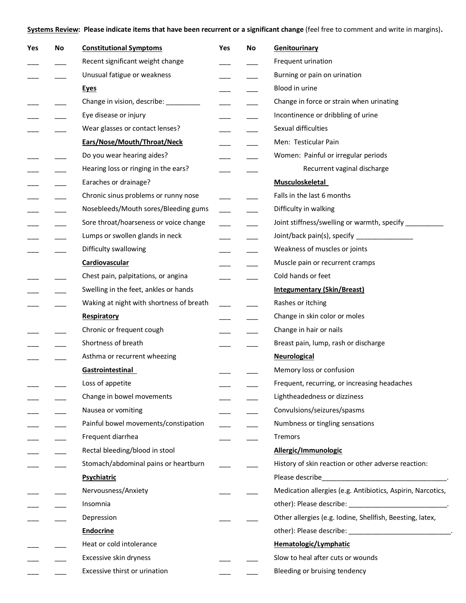**Systems Review: Please indicate items that have been recurrent or a significant change** (feel free to comment and write in margins)**.**

| Yes | No | <b>Constitutional Symptoms</b>           | Yes | No | Genitourinary                                               |
|-----|----|------------------------------------------|-----|----|-------------------------------------------------------------|
|     |    | Recent significant weight change         |     |    | Frequent urination                                          |
|     |    | Unusual fatigue or weakness              |     |    | Burning or pain on urination                                |
|     |    | <b>Eyes</b>                              |     |    | Blood in urine                                              |
|     |    | Change in vision, describe: _____        |     |    | Change in force or strain when urinating                    |
|     |    | Eye disease or injury                    |     |    | Incontinence or dribbling of urine                          |
|     |    | Wear glasses or contact lenses?          |     |    | Sexual difficulties                                         |
|     |    | Ears/Nose/Mouth/Throat/Neck              |     |    | Men: Testicular Pain                                        |
|     |    | Do you wear hearing aides?               |     |    | Women: Painful or irregular periods                         |
|     |    | Hearing loss or ringing in the ears?     |     |    | Recurrent vaginal discharge                                 |
|     |    | Earaches or drainage?                    |     |    | <b>Musculoskeletal</b>                                      |
|     |    | Chronic sinus problems or runny nose     |     |    | Falls in the last 6 months                                  |
|     |    | Nosebleeds/Mouth sores/Bleeding gums     |     |    | Difficulty in walking                                       |
|     |    | Sore throat/hoarseness or voice change   |     |    | Joint stiffness/swelling or warmth, specify __________      |
|     |    | Lumps or swollen glands in neck          |     |    | Joint/back pain(s), specify __________________              |
|     |    | Difficulty swallowing                    |     |    | Weakness of muscles or joints                               |
|     |    | <b>Cardiovascular</b>                    |     |    | Muscle pain or recurrent cramps                             |
|     |    | Chest pain, palpitations, or angina      |     |    | Cold hands or feet                                          |
|     |    | Swelling in the feet, ankles or hands    |     |    | <b>Integumentary (Skin/Breast)</b>                          |
|     |    | Waking at night with shortness of breath |     |    | Rashes or itching                                           |
|     |    | Respiratory                              |     |    | Change in skin color or moles                               |
|     |    | Chronic or frequent cough                |     |    | Change in hair or nails                                     |
|     |    | Shortness of breath                      |     |    | Breast pain, lump, rash or discharge                        |
|     |    | Asthma or recurrent wheezing             |     |    | <b>Neurological</b>                                         |
|     |    | Gastrointestinal                         |     |    | Memory loss or confusion                                    |
|     |    | Loss of appetite                         |     |    | Frequent, recurring, or increasing headaches                |
|     |    | Change in bowel movements                |     |    | Lightheadedness or dizziness                                |
|     |    | Nausea or vomiting                       |     |    | Convulsions/seizures/spasms                                 |
|     |    | Painful bowel movements/constipation     |     |    | Numbness or tingling sensations                             |
|     |    | Frequent diarrhea                        |     |    | Tremors                                                     |
|     |    | Rectal bleeding/blood in stool           |     |    | Allergic/Immunologic                                        |
|     |    | Stomach/abdominal pains or heartburn     |     |    | History of skin reaction or other adverse reaction:         |
|     |    | Psychiatric                              |     |    |                                                             |
|     |    | Nervousness/Anxiety                      |     |    | Medication allergies (e.g. Antibiotics, Aspirin, Narcotics, |
|     |    | Insomnia                                 |     |    |                                                             |
|     |    | Depression                               |     |    | Other allergies (e.g. Iodine, Shellfish, Beesting, latex,   |
|     |    | <b>Endocrine</b>                         |     |    | other): Please describe: _________________________________. |
|     |    | Heat or cold intolerance                 |     |    | Hematologic/Lymphatic                                       |
|     |    | Excessive skin dryness                   |     |    | Slow to heal after cuts or wounds                           |
|     |    | Excessive thirst or urination            |     |    | Bleeding or bruising tendency                               |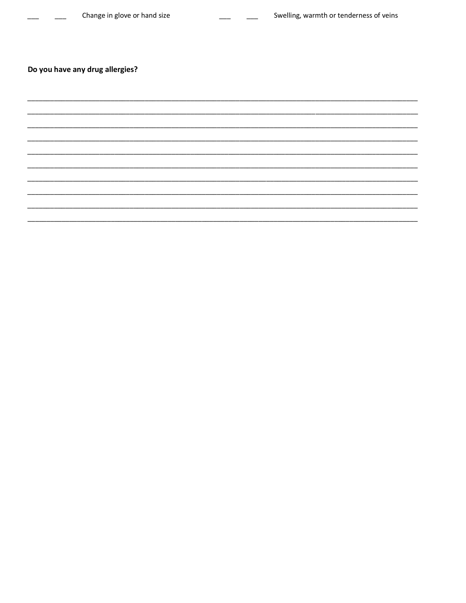# Do you have any drug allergies?